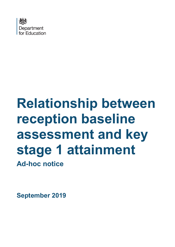

# **Relationship between reception baseline assessment and key stage 1 attainment Ad-hoc notice**

**September 2019**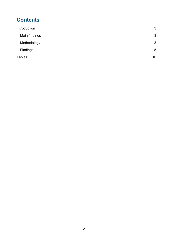# **Contents**

| Introduction  | 3              |
|---------------|----------------|
| Main findings | 3              |
| Methodology   | 3              |
| Findings      | $\overline{5}$ |
| <b>Tables</b> | 10             |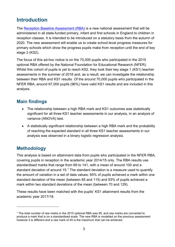# <span id="page-2-0"></span>**Introduction**

The [Reception Baseline Assessment \(RBA\)](https://www.gov.uk/guidance/reception-baseline-assessment) is a new national assessment that will be administered in all state-funded primary, infant and first schools in England to children in reception classes. It is intended to be introduced on a statutory basis from the autumn of 2020. The new assessment will enable us to create school-level progress measures for primary schools which show the progress pupils make from reception until the end of key stage 2 (KS2).

The focus of this ad-hoc notice is on the 70,000 pupils who participated in the 2015 optional RBA offered by the National Foundation for Educational Research (NFER). Whilst this cohort of pupils is yet to reach KS2, they took their key stage 1 (KS1) teacher assessments in the summer of 2018 and, as a result, we can investigate the relationship between their RBA and KS1 results. Of the around 70,000 pupils who participated in the NFER RBA, around 67,000 pupils (96%) have valid KS1 results and are included in this analysis.

### <span id="page-2-1"></span>**Main findings**

- The relationship between a high RBA mark and KS1 outcomes was statistically significant for all three KS1 teacher assessments in our analysis, in an analysis of variance (ANOVA) test.
- A statistically significant relationship between a high RBA mark and the probability of reaching the expected standard in all three KS1 teacher assessments in our analysis was observed in a binary logistic regression analysis.

## <span id="page-2-2"></span>**Methodology**

This analysis is based on attainment data from pupils who participated in the NFER RBA, covering pupils in reception in the academic year 2014/15 only. The RBA results use standardised marks that range from 69 to 141, with a mean of around 100 and a standard deviation of around [1](#page-2-3)5.1 The standard deviation is a measure used to quantify the amount of variation in a set of data values: 65% of pupils achieved a mark within one standard deviation of the mean (between 85 and 115) and 93% of pupils achieved a mark within two standard deviations of the mean (between 70 and 129).

These results have been matched with the pupils' KS1 attainment results from the academic year 2017/18.

<span id="page-2-3"></span><sup>&</sup>lt;sup>1</sup> The total number of raw marks in the 2015 optional RBA was 95, and raw marks are converted to produce a mark that is on a standardised scale. The new RBA is modelled on the previous assessment however it is different and a raw mark of 45 is the maximum that can be achieved.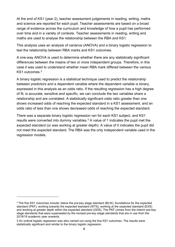At the end of KS1 (year 2), teacher assessment judgements in reading, writing, maths and science are reported for each pupil. Teacher assessments are based on a broad range of evidence across the curriculum and knowledge of how a pupil has performed over time and in a variety of contexts. Teacher assessments in reading, writing and maths are used to analyse the relationship between the RBA and KS1.

This analysis uses an analysis of variance (ANOVA) and a binary logistic regression to test the relationship between RBA marks and KS1 outcomes.

A one-way ANOVA is used to determine whether there are any statistically significant differences between the means of two or more independent groups. Therefore, in this case it was used to understand whether mean RBA mark differed between the various KS1 outcomes. [2](#page-3-0)

A binary logistic regression is a statistical technique used to predict the relationship between predictors and a dependent variable where the dependent variable is binary, expressed in this analysis as an odds ratio. If the resulting regression has a high degree of fit, is accurate, sensitive and specific, we can conclude the two variables share a relationship and are correlated. A statistically significant odds ratio greater than one shows increased odds of reaching the expected standard in a KS1 assessment, and an odds ratio of less than one shows decreased odds of reaching the expected standard.

There was a separate binary logistic regression ran for each KS1 subject, and KS1 results were converted into dummy variables. $^3$  $^3$  A value of 1 indicates the pupil met the expected standard (or was working at greater depth). A value of 0 indicates the pupil did not meet the expected standard. The RBA was the only independent variable used in the regression models.

<span id="page-3-0"></span><sup>&</sup>lt;sup>2</sup> The five KS1 outcomes include: below the pre-key stage standard (BLW), foundations for the expected standard (PKF), working towards the expected standard (WTS), working at the expected standard (EXS) and working at greater depth within the expected standard (GDS). The PKF comes from the interim pre-key stage standards that were superseded by the revised pre-key stage standards that are in use from the 2018/19 academic year onwards.

<span id="page-3-1"></span><sup>3</sup> An ordinal logistic regression was also carried out using the five KS1 outcomes. The results were statistically significant and similar to the binary logistic regression.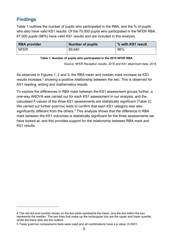## <span id="page-4-0"></span>**Findings**

Table 1 outlines the number of pupils who participated in the RBA, and the % of pupils who also have valid KS1 results. Of the 70,000 pupils who participated in the NFER RBA, 67,000 pupils (96%) have valid KS1 results and are included in this analysis.

| <b>RBA</b> provider | <b>Number of pupils</b> | % with KS1 result |
|---------------------|-------------------------|-------------------|
| <b>NFER</b>         | 69.640                  | 96%               |

#### **Table 1: Number of pupils who participated in the 2015 NFER RBA**

Source: NFER Reception results, 2015 and KS1 attainment data, 2018

As observed in Figures 1, 2 and 3, the RBA mean and median mark increase as KS1 results increase,<sup>[4](#page-4-1)</sup> showing a positive relationship between the two. This is observed for KS1 reading, writing and mathematics results.

To explore the differences in RBA mark between the KS1 assessment groups further, a one-way ANOVA was carried out for each KS1 assessment in our analysis, and the calculated F-values of the three KS1 assessments are statistically significant (Table 2). We carried out further post-hoc tests to confirm that each KS1 category was also significantly different from the others. [5](#page-4-2) This analysis shows that the difference in RBA mark between the KS1 outcomes is statistically significant for the three assessments we have looked at, and this provides support for the relationship between RBA mark and KS1 results.

<span id="page-4-1"></span><sup>4</sup> The red dot and number shown on the box plots represents the mean, and the line within the box represents the median. The two lines that make up the rectangular box are the upper and lower quartile, whilst the black dots are the outliers.

<span id="page-4-2"></span><sup>5</sup> Tukey post-hoc comparisons tests were used and all combinations have a p value <0.0001.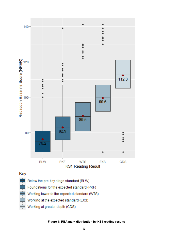

- Key
	- Below the pre-key stage standard (BLW)
	- Foundations for the expected standard (PKF)
	- Working towards the expected standard (WTS)
	- Working at the expected standard (EXS)
	- Working at greater depth (GDS)

**Figure 1: RBA mark distribution by KS1 reading results**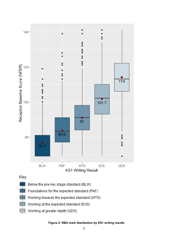

**Figure 2: RBA mark distribution by KS1 writing results**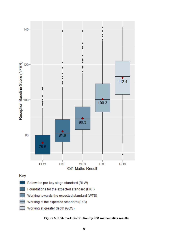

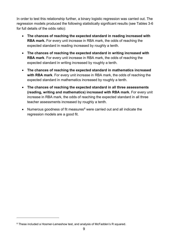In order to test this relationship further, a binary logistic regression was carried out. The regression models produced the following statistically significant results (see Tables 3-6 for full details of the odds ratio):

- **The chances of reaching the expected standard in reading increased with RBA mark.** For every unit increase in RBA mark, the odds of reaching the expected standard in reading increased by roughly a tenth.
- **The chances of reaching the expected standard in writing increased with RBA mark**. For every unit increase in RBA mark, the odds of reaching the expected standard in writing increased by roughly a tenth.
- **The chances of reaching the expected standard in mathematics increased with RBA mark**. For every unit increase in RBA mark, the odds of reaching the expected standard in mathematics increased by roughly a tenth.
- **The chances of reaching the expected standard in all three assessments (reading, writing and mathematics) increased with RBA mark.** For every unit increase in RBA mark, the odds of reaching the expected standard in all three teacher assessments increased by roughly a tenth.
- Numerous goodness of fit measures $6$  were carried out and all indicate the regression models are a good fit.

<span id="page-8-0"></span><sup>&</sup>lt;sup>6</sup> These included a Hosmer-Lemeshow test, and analysis of McFadden's R squared.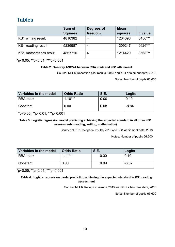# <span id="page-9-0"></span>**Tables**

|                        | Sum of         | Degrees of | <b>Mean</b> |                |
|------------------------|----------------|------------|-------------|----------------|
|                        | <b>Squares</b> | freedom    | squares     | <b>F</b> value |
| KS1 writing result     | 4816382        | 4          | 1204096     | 8456***        |
| KS1 reading result     | 5236987        | 4          | 1309247     | 9626***        |
| KS1 mathematics result | 4857716        | 4          | 1214429     | 8568***        |

\*p<0.05; \*\*p<0.01; \*\*\*p<0.001

#### **Table 2: One-way ANOVA between RBA mark and KS1 attainment**

Source: NFER Reception pilot results, 2015 and KS1 attainment data, 2018.

Notes: Number of pupils 66,600

| Variables in the model | <b>Odds Ratio</b> | <b>S.E.</b> | Logits  |
|------------------------|-------------------|-------------|---------|
| <b>RBA</b> mark        | $1.10***$         | 0.00        | 0.10    |
| Constant               | 0.00              | 0.08        | $-8.84$ |

\*p<0.05; \*\*p<0.01; \*\*\*p<0.001

#### **Table 3: Logistic regression model predicting achieving the expected standard in all three KS1 assessments (reading, writing, mathematics)**

Source: NFER Reception results, 2015 and KS1 attainment data, 2018

Notes: Number of pupils 66,600

| Variables in the model | <b>Odds Ratio</b> | <b>S.E.</b> | Logits  |
|------------------------|-------------------|-------------|---------|
| <b>RBA</b> mark        | $11***$           | 0.00        | 0.10    |
| Constant               | 0.00              | 0.09        | $-8.67$ |

 $*p<0.05$ ; \*\*p<0.01; \*\*\*p<0.001

#### **Table 4: Logistic regression model predicting achieving the expected standard in KS1 reading assessment**

Source: NFER Reception results, 2015 and KS1 attainment data, 2018

Notes: Number of pupils 66,600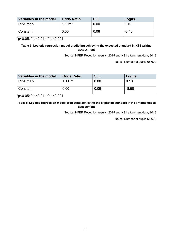| Variables in the model | <b>Odds Ratio</b> | <b>S.E.</b> | Logits  |
|------------------------|-------------------|-------------|---------|
| <b>RBA</b> mark        | $1.10***$         | 0.00        | 0.10    |
| Constant               | 0.00              | 0.08        | $-8.40$ |

\*p<0.05; \*\*p<0.01; \*\*\*p<0.001

#### **Table 5: Logistic regression model predicting achieving the expected standard in KS1 writing assessment**

Source: NFER Reception results, 2015 and KS1 attainment data, 2018

Notes: Number of pupils 66,600

| Variables in the model | <b>Odds Ratio</b> | <b>S.E.</b> | Logits  |
|------------------------|-------------------|-------------|---------|
| <b>RBA</b> mark        | $1.11***$         | 0.00        | 0.10    |
| Constant               | 0.00              | 0.09        | $-8.58$ |

\*p<0.05; \*\*p<0.01; \*\*\*p<0.001

#### **Table 6: Logistic regression model predicting achieving the expected standard in KS1 mathematics assessment**

Source: NFER Reception results, 2015 and KS1 attainment data, 2018

Notes: Number of pupils 66,600